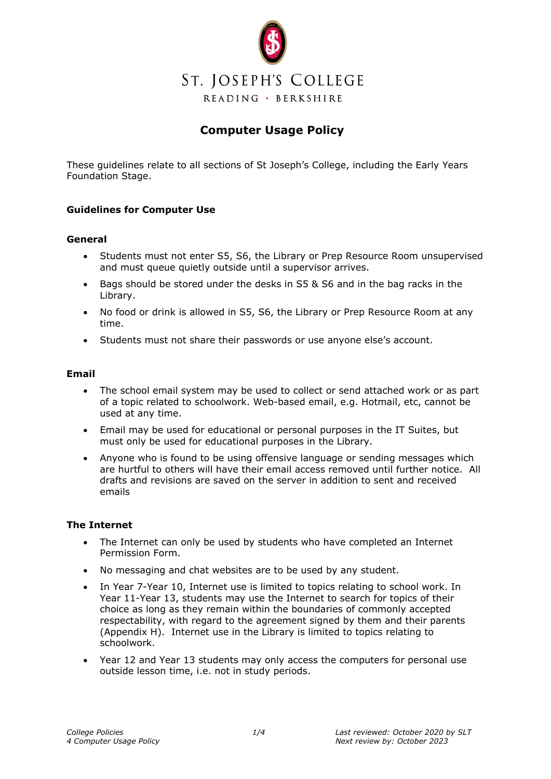

# **Computer Usage Policy**

These guidelines relate to all sections of St Joseph's College, including the Early Years Foundation Stage.

# **Guidelines for Computer Use**

## **General**

- Students must not enter S5, S6, the Library or Prep Resource Room unsupervised and must queue quietly outside until a supervisor arrives.
- Bags should be stored under the desks in S5 & S6 and in the bag racks in the Library.
- No food or drink is allowed in S5, S6, the Library or Prep Resource Room at any time.
- Students must not share their passwords or use anyone else's account.

## **Email**

- The school email system may be used to collect or send attached work or as part of a topic related to schoolwork. Web-based email, e.g. Hotmail, etc, cannot be used at any time.
- Email may be used for educational or personal purposes in the IT Suites, but must only be used for educational purposes in the Library.
- Anyone who is found to be using offensive language or sending messages which are hurtful to others will have their email access removed until further notice. All drafts and revisions are saved on the server in addition to sent and received emails

## **The Internet**

- The Internet can only be used by students who have completed an Internet Permission Form.
- No messaging and chat websites are to be used by any student.
- In Year 7-Year 10, Internet use is limited to topics relating to school work. In Year 11-Year 13, students may use the Internet to search for topics of their choice as long as they remain within the boundaries of commonly accepted respectability, with regard to the agreement signed by them and their parents (Appendix H). Internet use in the Library is limited to topics relating to schoolwork.
- Year 12 and Year 13 students may only access the computers for personal use outside lesson time, i.e. not in study periods.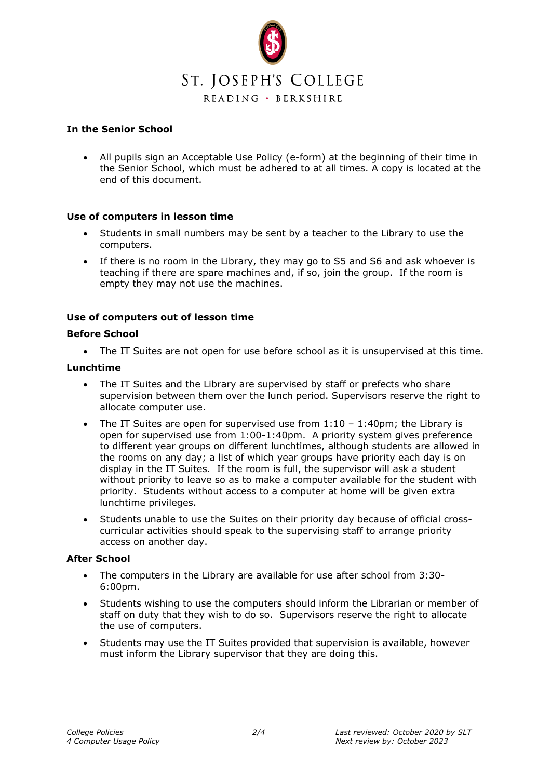

# **In the Senior School**

• All pupils sign an Acceptable Use Policy (e-form) at the beginning of their time in the Senior School, which must be adhered to at all times. A copy is located at the end of this document.

# **Use of computers in lesson time**

- Students in small numbers may be sent by a teacher to the Library to use the computers.
- If there is no room in the Library, they may go to S5 and S6 and ask whoever is teaching if there are spare machines and, if so, join the group. If the room is empty they may not use the machines.

# **Use of computers out of lesson time**

## **Before School**

• The IT Suites are not open for use before school as it is unsupervised at this time.

#### **Lunchtime**

- The IT Suites and the Library are supervised by staff or prefects who share supervision between them over the lunch period. Supervisors reserve the right to allocate computer use.
- The IT Suites are open for supervised use from  $1:10 1:40$  pm; the Library is open for supervised use from 1:00-1:40pm. A priority system gives preference to different year groups on different lunchtimes, although students are allowed in the rooms on any day; a list of which year groups have priority each day is on display in the IT Suites. If the room is full, the supervisor will ask a student without priority to leave so as to make a computer available for the student with priority. Students without access to a computer at home will be given extra lunchtime privileges.
- Students unable to use the Suites on their priority day because of official crosscurricular activities should speak to the supervising staff to arrange priority access on another day.

## **After School**

- The computers in the Library are available for use after school from 3:30- 6:00pm.
- Students wishing to use the computers should inform the Librarian or member of staff on duty that they wish to do so. Supervisors reserve the right to allocate the use of computers.
- Students may use the IT Suites provided that supervision is available, however must inform the Library supervisor that they are doing this.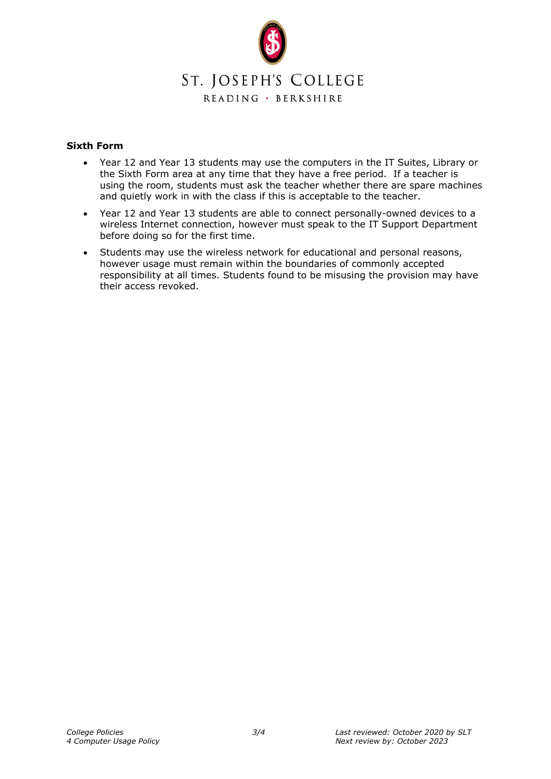

# **Sixth Form**

- Year 12 and Year 13 students may use the computers in the IT Suites, Library or the Sixth Form area at any time that they have a free period. If a teacher is using the room, students must ask the teacher whether there are spare machines and quietly work in with the class if this is acceptable to the teacher.
- Year 12 and Year 13 students are able to connect personally-owned devices to a wireless Internet connection, however must speak to the IT Support Department before doing so for the first time.
- Students may use the wireless network for educational and personal reasons, however usage must remain within the boundaries of commonly accepted responsibility at all times. Students found to be misusing the provision may have their access revoked.